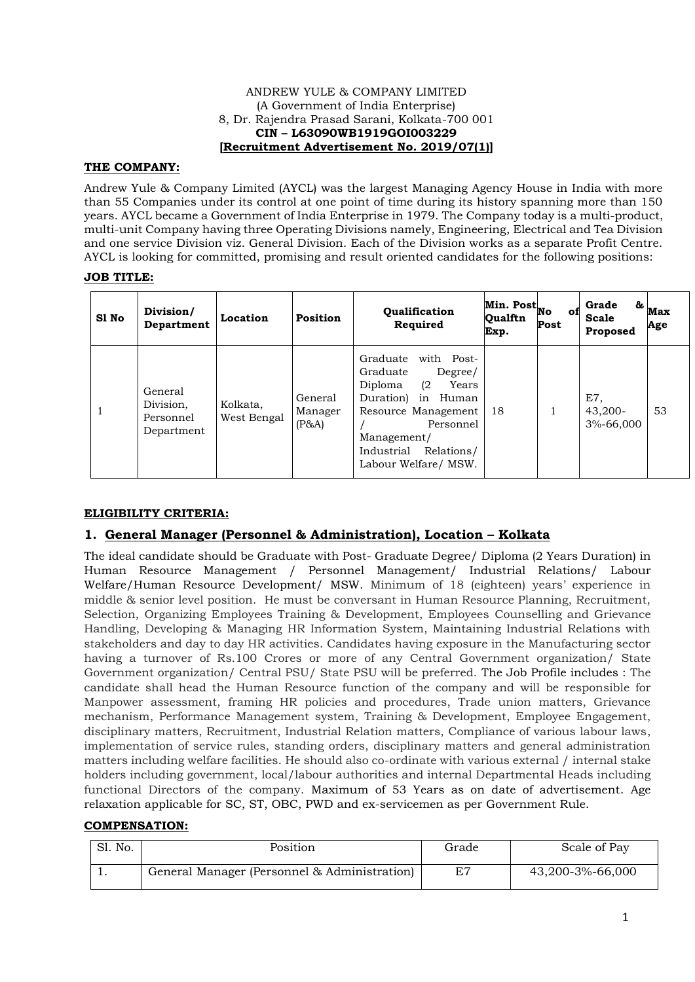#### ANDREW YULE & COMPANY LIMITED (A Government of India Enterprise) 8, Dr. Rajendra Prasad Sarani, Kolkata-700 001 **CIN – L63090WB1919GOI003229 [Recruitment Advertisement No. 2019/07(1)]**

## **THE COMPANY:**

Andrew Yule & Company Limited (AYCL) was the largest Managing Agency House in India with more than 55 Companies under its control at one point of time during its history spanning more than 150 years. AYCL became a Government of India Enterprise in 1979. The Company today is a multi-product, multi-unit Company having three Operating Divisions namely, Engineering, Electrical and Tea Division and one service Division viz. General Division. Each of the Division works as a separate Profit Centre. AYCL is looking for committed, promising and result oriented candidates for the following positions:

# **JOB TITLE:**

| S1 No | Division/<br>Department                         | Location                | Position                    | <b>Oualification</b><br>Required                                                                                                                                                                            | Min. Post <sub>No</sub><br><b>Oualftn</b><br>Exp. | оf<br>Post | Grade<br>Scale<br>Proposed  | $\mathbf{\overset{\mathbf{a}}{\mathbf{b}}}\vert_{\mathbf{Max}}$<br>Age |
|-------|-------------------------------------------------|-------------------------|-----------------------------|-------------------------------------------------------------------------------------------------------------------------------------------------------------------------------------------------------------|---------------------------------------------------|------------|-----------------------------|------------------------------------------------------------------------|
|       | General<br>Division,<br>Personnel<br>Department | Kolkata,<br>West Bengal | General<br>Manager<br>(P&A) | Graduate<br>with Post-<br>Graduate<br>Degree/<br>Diploma<br>(2)<br>Years<br>in<br>Human<br>Duration)<br>Resource Management<br>Personnel<br>Management/<br>Industrial<br>Relations/<br>Labour Welfare/ MSW. | 18                                                |            | E7,<br>43,200-<br>3%-66,000 | 53                                                                     |

# **ELIGIBILITY CRITERIA:**

# **1. General Manager (Personnel & Administration), Location – Kolkata**

The ideal candidate should be Graduate with Post- Graduate Degree/ Diploma (2 Years Duration) in Human Resource Management / Personnel Management/ Industrial Relations/ Labour Welfare/Human Resource Development/ MSW. Minimum of 18 (eighteen) years' experience in middle & senior level position. He must be conversant in Human Resource Planning, Recruitment, Selection, Organizing Employees Training & Development, Employees Counselling and Grievance Handling, Developing & Managing HR Information System, Maintaining Industrial Relations with stakeholders and day to day HR activities. Candidates having exposure in the Manufacturing sector having a turnover of Rs.100 Crores or more of any Central Government organization/ State Government organization/ Central PSU/ State PSU will be preferred. The Job Profile includes : The candidate shall head the Human Resource function of the company and will be responsible for Manpower assessment, framing HR policies and procedures, Trade union matters, Grievance mechanism, Performance Management system, Training & Development, Employee Engagement, disciplinary matters, Recruitment, Industrial Relation matters, Compliance of various labour laws, implementation of service rules, standing orders, disciplinary matters and general administration matters including welfare facilities. He should also co-ordinate with various external / internal stake holders including government, local/labour authorities and internal Departmental Heads including functional Directors of the company. Maximum of 53 Years as on date of advertisement. Age relaxation applicable for SC, ST, OBC, PWD and ex-servicemen as per Government Rule.

### **COMPENSATION:**

| S1. No. | Position                                     | Grade | Scale of Pay     |
|---------|----------------------------------------------|-------|------------------|
|         | General Manager (Personnel & Administration) | E7    | 43,200-3%-66,000 |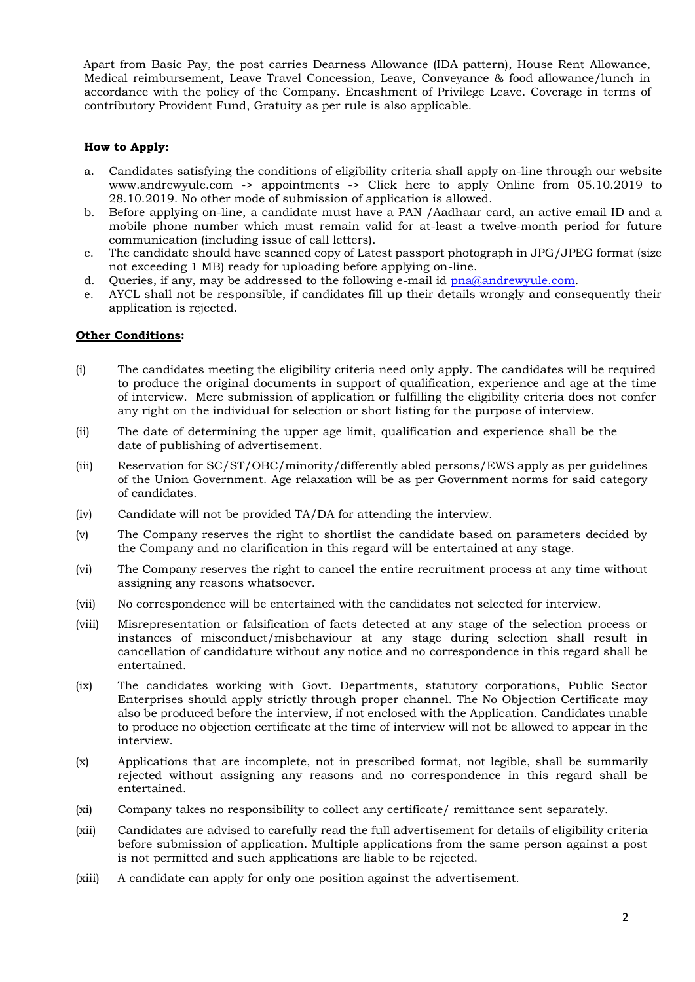Apart from Basic Pay, the post carries Dearness Allowance (IDA pattern), House Rent Allowance, Medical reimbursement, Leave Travel Concession, Leave, Conveyance & food allowance/lunch in accordance with the policy of the Company. Encashment of Privilege Leave. Coverage in terms of contributory Provident Fund, Gratuity as per rule is also applicable.

### **How to Apply:**

- a. Candidates satisfying the conditions of eligibility criteria shall apply on-line through our website www.andrewyule.com -> appointments -> Click here to apply Online from 05.10.2019 to 28.10.2019. No other mode of submission of application is allowed.
- b. Before applying on-line, a candidate must have a PAN /Aadhaar card, an active email ID and a mobile phone number which must remain valid for at-least a twelve-month period for future communication (including issue of call letters).
- c. The candidate should have scanned copy of Latest passport photograph in JPG/JPEG format (size not exceeding 1 MB) ready for uploading before applying on-line.
- d. Queries, if any, may be addressed to the following e-mail id  $pna@andrewycle.com$ .
- e. AYCL shall not be responsible, if candidates fill up their details wrongly and consequently their application is rejected.

#### **Other Conditions:**

- (i) The candidates meeting the eligibility criteria need only apply. The candidates will be required to produce the original documents in support of qualification, experience and age at the time of interview. Mere submission of application or fulfilling the eligibility criteria does not confer any right on the individual for selection or short listing for the purpose of interview.
- (ii) The date of determining the upper age limit, qualification and experience shall be the date of publishing of advertisement.
- (iii) Reservation for SC/ST/OBC/minority/differently abled persons/EWS apply as per guidelines of the Union Government. Age relaxation will be as per Government norms for said category of candidates.
- (iv) Candidate will not be provided TA/DA for attending the interview.
- (v) The Company reserves the right to shortlist the candidate based on parameters decided by the Company and no clarification in this regard will be entertained at any stage.
- (vi) The Company reserves the right to cancel the entire recruitment process at any time without assigning any reasons whatsoever.
- (vii) No correspondence will be entertained with the candidates not selected for interview.
- (viii) Misrepresentation or falsification of facts detected at any stage of the selection process or instances of misconduct/misbehaviour at any stage during selection shall result in cancellation of candidature without any notice and no correspondence in this regard shall be entertained.
- (ix) The candidates working with Govt. Departments, statutory corporations, Public Sector Enterprises should apply strictly through proper channel. The No Objection Certificate may also be produced before the interview, if not enclosed with the Application. Candidates unable to produce no objection certificate at the time of interview will not be allowed to appear in the interview.
- (x) Applications that are incomplete, not in prescribed format, not legible, shall be summarily rejected without assigning any reasons and no correspondence in this regard shall be entertained.
- (xi) Company takes no responsibility to collect any certificate/ remittance sent separately.
- (xii) Candidates are advised to carefully read the full advertisement for details of eligibility criteria before submission of application. Multiple applications from the same person against a post is not permitted and such applications are liable to be rejected.
- (xiii) A candidate can apply for only one position against the advertisement.